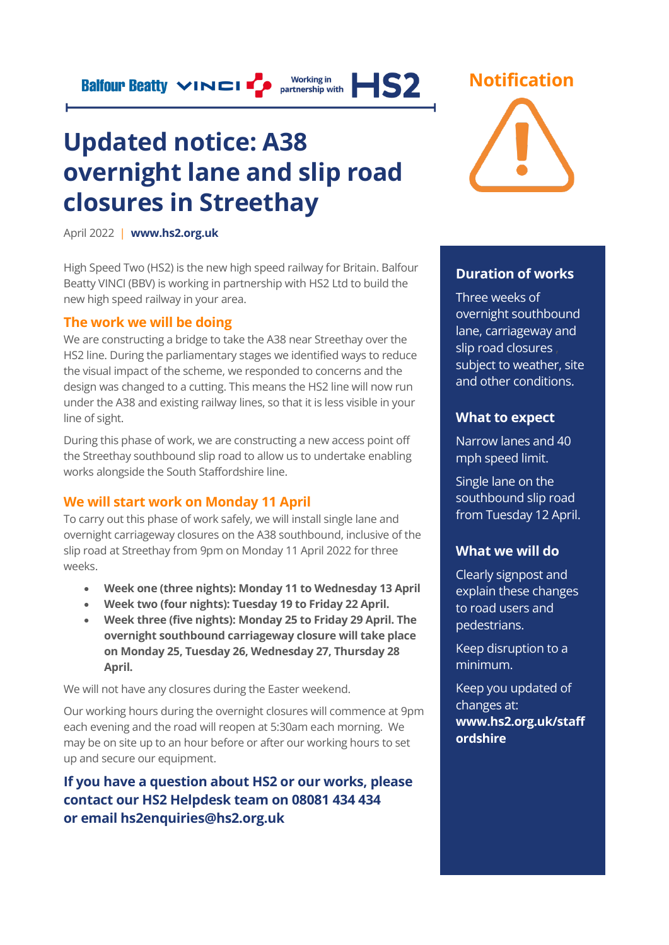**Updated notice: A38 overnight lane and slip road closures in Streethay**

**Balfour Beatty VINCI** Partnership with

April 2022 | **[www.hs2.org.uk](http://www.hs2.org.uk/)**

High Speed Two (HS2) is the new high speed railway for Britain. Balfour Beatty VINCI (BBV) is working in partnership with HS2 Ltd to build the new high speed railway in your area.

#### **The work we will be doing**

We are constructing a bridge to take the A38 near Streethay over the HS2 line. During the parliamentary stages we identified ways to reduce the visual impact of the scheme, we responded to concerns and the design was changed to a cutting. This means the HS2 line will now run under the A38 and existing railway lines, so that it is less visible in your line of sight.

During this phase of work, we are constructing a new access point off the Streethay southbound slip road to allow us to undertake enabling works alongside the South Staffordshire line.

### **We will start work on Monday 11 April**

To carry out this phase of work safely, we will install single lane and overnight carriageway closures on the A38 southbound, inclusive of the slip road at Streethay from 9pm on Monday 11 April 2022 for three weeks.

- **Week one (three nights): Monday 11 to Wednesday 13 April**
- **Week two (four nights): Tuesday 19 to Friday 22 April.**
- **Week three (five nights): Monday 25 to Friday 29 April. The overnight southbound carriageway closure will take place on Monday 25, Tuesday 26, Wednesday 27, Thursday 28 April.**

We will not have any closures during the Easter weekend.

Our working hours during the overnight closures will commence at 9pm each evening and the road will reopen at 5:30am each morning. We may be on site up to an hour before or after our working hours to set up and secure our equipment.

**If you have a question about HS2 or our works, please contact our HS2 Helpdesk team on 08081 434 434 or email hs2enquiries@hs2.org.uk**

182



### **Duration of works**

Three weeks of overnight southbound lane, carriageway and slip road closures subject to weather, site and other conditions.

#### **What to expect**

Narrow lanes and 40 mph speed limit.

Single lane on the southbound slip road from Tuesday 12 April.

### **What we will do**

Clearly signpost and explain these changes to road users and pedestrians.

Keep disruption to a minimum.

Keep you updated of changes at: **www.hs2.org.uk/staff ordshire**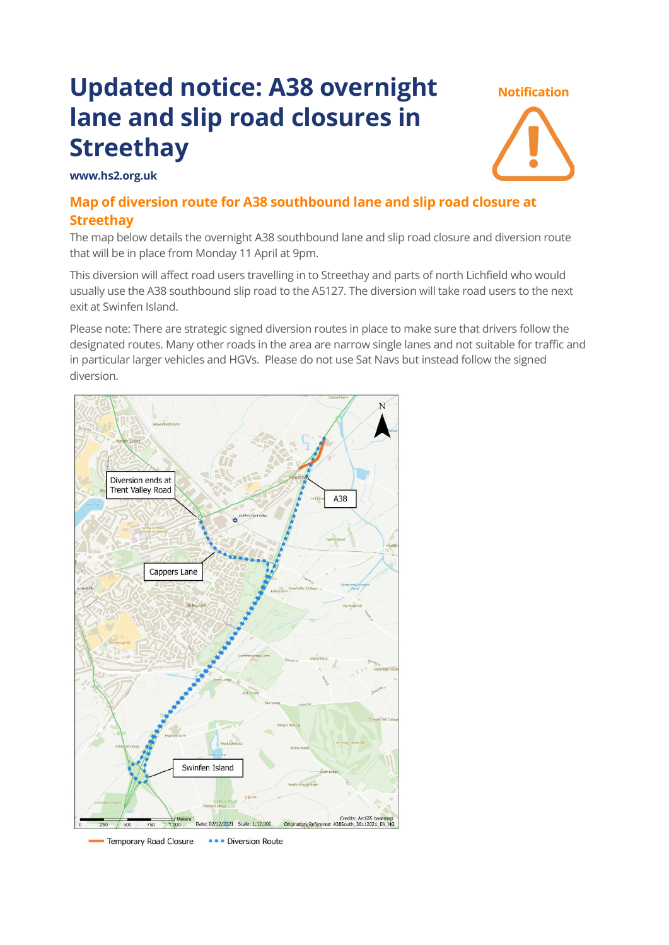# **Updated notice: A38 overnight lane and slip road closures in Streethay**

#### **www.hs2.org.uk**

# **Map of diversion route for A38 southbound lane and slip road closure at Streethay**

The map below details the overnight A38 southbound lane and slip road closure and diversion route that will be in place from Monday 11 April at 9pm.

**Notification**

This diversion will affect road users travelling in to Streethay and parts of north Lichfield who would usually use the A38 southbound slip road to the A5127. The diversion will take road users to the next exit at Swinfen Island.

Please note: There are strategic signed diversion routes in place to make sure that drivers follow the designated routes. Many other roads in the area are narrow single lanes and not suitable for traffic and in particular larger vehicles and HGVs. Please do not use Sat Navs but instead follow the signed diversion.



Temporary Road Closure **BED** Diversion Route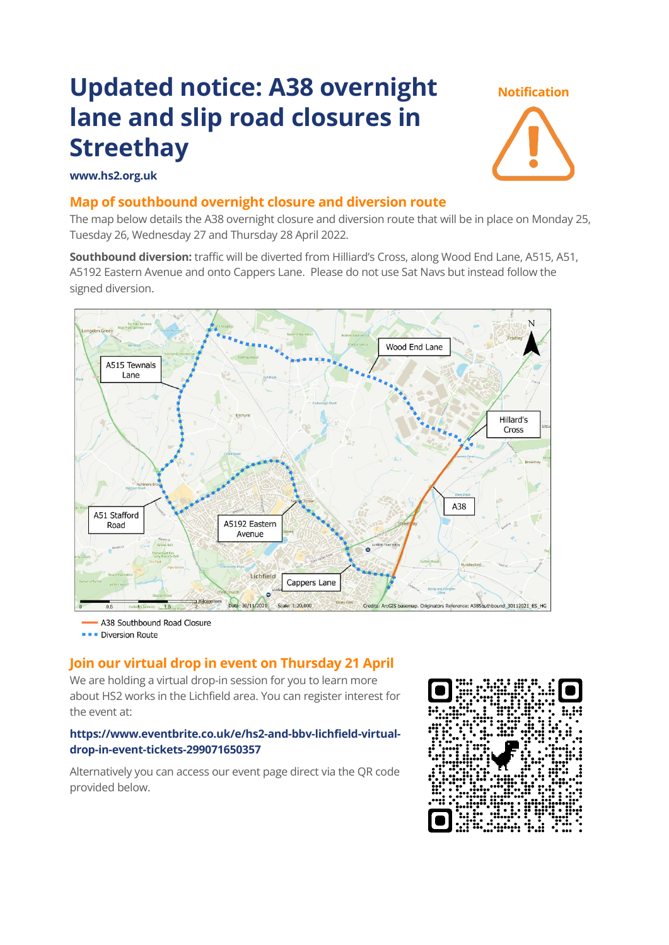# **Updated notice: A38 overnight lane and slip road closures in Streethay**

#### **Notification**



#### **www.hs2.org.uk**

## **Map of southbound overnight closure and diversion route**

The map below details the A38 overnight closure and diversion route that will be in place on Monday 25, Tuesday 26, Wednesday 27 and Thursday 28 April 2022.

**Southbound diversion:** traffic will be diverted from Hilliard's Cross, along Wood End Lane, A515, A51, A5192 Eastern Avenue and onto Cappers Lane. Please do not use Sat Navs but instead follow the signed diversion.



A38 Southbound Road Closure **EXECUTE:** Diversion Route

## **Join our virtual drop in event on Thursday 21 April**

We are holding a virtual drop-in session for you to learn more about HS2 works in the Lichfield area. You can register interest for the event at:

#### **[https://www.eventbrite.co.uk/e/hs2-and-bbv-lichfield-virtual](https://www.eventbrite.co.uk/e/hs2-and-bbv-lichfield-virtual-drop-in-event-tickets-299071650357)[drop-in-event-tickets-299071650357](https://www.eventbrite.co.uk/e/hs2-and-bbv-lichfield-virtual-drop-in-event-tickets-299071650357)**

Alternatively you can access our event page direct via the QR code provided below.